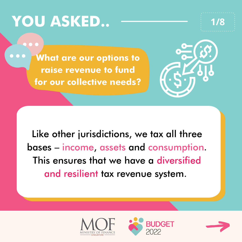# **YOU ASKED.. 1/8**



**What are our options to raise revenue to fund for our collective needs?**



Like other jurisdictions, we tax all three bases – income, assets and consumption. This ensures that we have a diversified and resilient tax revenue system.





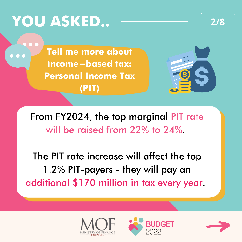# **YOU ASKED.. 2/8**

**Tell me more about income-based tax: Personal Income Tax (PIT)**



From FY2024, the top marginal PIT rate will be raised from 22% to 24%.

The PIT rate increase will affect the top 1.2% PIT-payers - they will pay an additional \$170 million in tax every year.





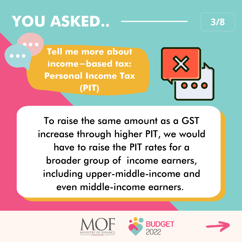# **YOU ASKED.. 3/8**

**Tell me more about income-based tax: Personal Income Tax (PIT)**



To raise the same amount as a GST increase through higher PIT, we would have to raise the PIT rates for a broader group of income earners, including upper-middle-income and even middle-income earners.





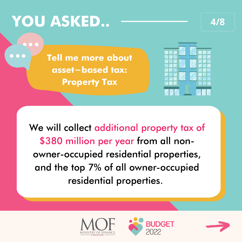# **YOU ASKED.. 4/8**





We will collect additional property tax of \$380 million per year from all nonowner-occupied residential properties, and the top 7% of all owner-occupied residential properties.





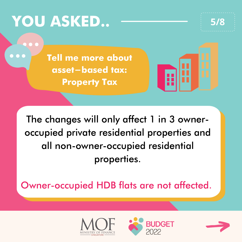## **YOU ASKED.. 5/8**

**Tell me more about asset-based tax: Property Tax**



The changes will only affect 1 in 3 owneroccupied private residential properties and all non-owner-occupied residential properties.

Owner-occupied HDB flats are not affected.





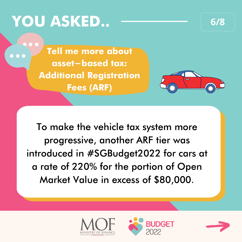# **YOU ASKED.. 6/8**

**Tell me more about asset-based tax: Additional Registration Fees (ARF)**



To make the vehicle tax system more progressive, another ARF tier was introduced in #SGBudget2022 for cars at a rate of 220% for the portion of Open Market Value in excess of \$80,000.





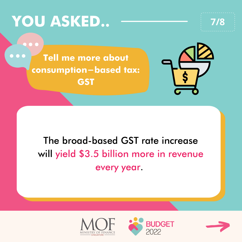### **YOU ASKED.. 7/8**

**Tell me more about consumption-based tax: GST**



#### The broad-based GST rate increase will yield \$3.5 billion more in revenue every year.